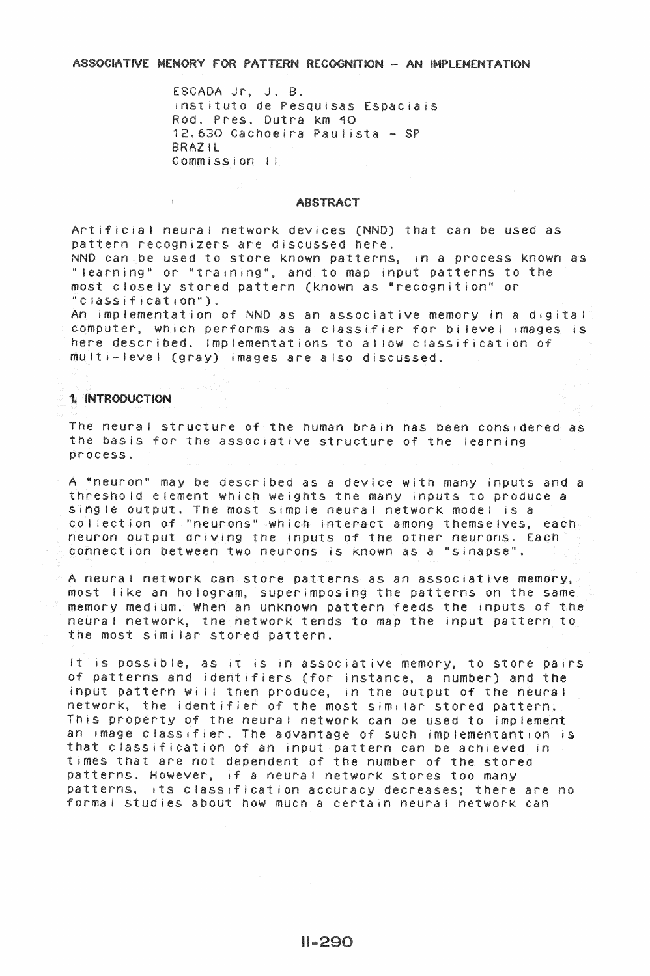ASSOCIATIVE MEMORY FOR PATTERN RECOGNITION - AN IMPLEMENTATION

ESCADA Jr. J. B. Instituto de Pesquisas Espaciais Rod. Pres. Dutra km 40 12,630 Cachoeira Paulista - SP BRAZ IL Commission II

#### **ABSTRACT**

Artificial neural network devices (NND) that can be used as pattern recognizers are discussed here. NND can be used to store known patterns, in a process known as "learning" or "training", and to map input patterns to the most closely stored pattern (known as "recognition" or "classification").

An implementation of NND as an associative memory in a digital computer, which performs as a classifier for bilevel images is here described. Implementations to allow classification of multi-level (gray) images are also discussed.

# 1. INTRODUCTION

The neural structure of the human brain has been considered as the basis for the associative structure of the learning process.

A "neuron" may be described as a device with many inputs and a threshold element which weights the many inputs to produce a single output. The most simple neural network model is a collection of "neurons" which interact among themselves, each neuron output driving the inputs of the other neurons. Each connection between two neurons is known as a "sinapse".

A neural network can store patterns as an associative memory, most like an hologram, superimposing the patterns on the same memory medium. When an unknown pattern feeds the inputs of the neural network, the network tends to map the input pattern to the most similar stored pattern.

It is possible, as it is in associative memory, to store pairs of patterns and identifiers (for instance, a number) and the input pattern will then produce, in the output of the neural network, the identifier of the most similar stored pattern. This property of the neural network can be used to implement an image classifier. The advantage of such implementantion is that classification of an input pattern can be achieved in times that are not dependent of the number of the stored patterns. However, if a neural network stores too many patterns, its classification accuracy decreases; there are no formal studies about how much a certain neural network can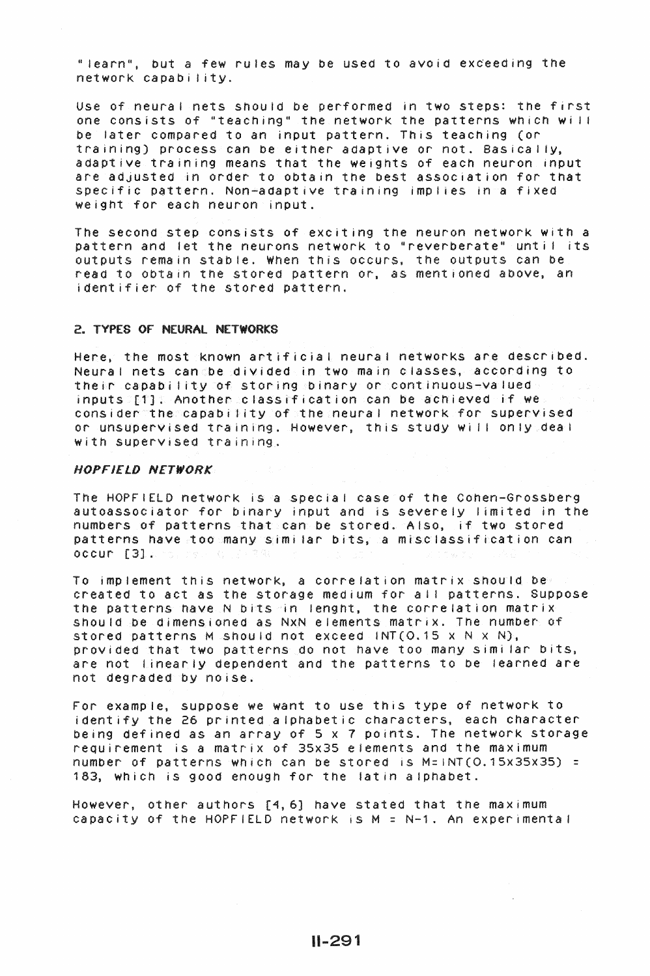" learn", but a few rules may be used to avoid exceeding the network capability.

Use of neural nets should be performed in two steps: the first one consists of "teaching" the network the patterns which wi If be later compared to an input pattern. This teaching (or training) process can be either adaptive or not. Basically, adaptive training means that the weights of each neuron input are adjusted in order to obtain the best association for that specific pattern. Non-adaptive training implies in a fixed weight for each neuron input.

The second step consists of exciting the neuron network with a pattern and let the neurons network to "reverberate" until its outputs remain stable. When this occurs, the outputs can be read to obtain the stored pattern or, as mentioned above. an identifier of the stored pattern.

#### 2.. TYPES OF NEURAl NETWORKS

Here. the most known artificial neural networks are described. Neural nets can be divided in two main classes, according to their capability of storing binary or continuous-valued inputs [1]. Another classification can be achieved if we consider the capabi I ity of the neura I network for supervised or unsupervised training. However, this study wi II on IY dea I with supervised training.

## HOPFIELD NETWORK

The HOPFIELD network is a special case of the Cohen-Grossberg autoassociator for binary input and is severely limited in the numbers of patterns that can be stored. Also, if two stored patterns have too many similar bits, a misclassification can occur [3].

To implement this network, a correlation matrix should be created to act as the storage medium for all patterns. Suppose the patterns have N bits in lenght, the correlation matrix should be dimensioned as NxN elements matrix. The number of stored patterns M should not exceed INT( $O.15 \times N \times N$ ), provided that two patterns do not have too many similar bits, are not linear IY dependent and the patterns to be learned are not degraded by noise.

For example, suppose we want to use this type of network to identify the 26 printed alphabetic characters, each character being defined as an array of 5 x 7 points. The network storage requirement is a matrix of 35x35 elements and the maximum number of patterns which can be stored is  $M=INT(0.15x35x35) =$ 183, which is good enough for the latin alphabet.

However, other authors [4,6] have stated that the maximum capacity of the HOPFIELD network is  $M = N-1$ . An experimental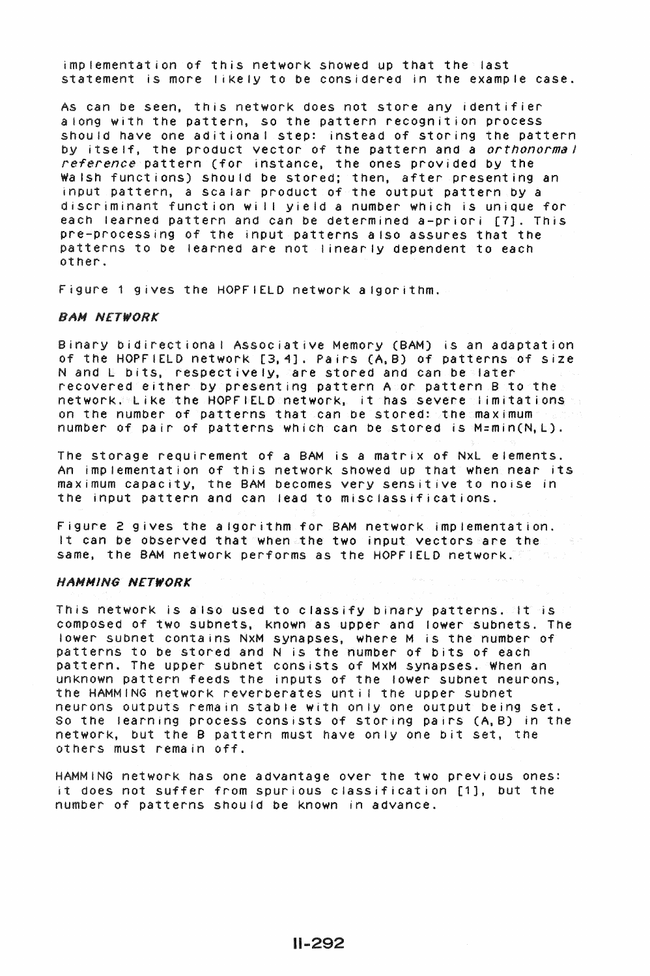implementation of this network showed up that the last statement is more likely to be considered in the example case.

As can be seen, this network does not store any identifier along with the pattern, so the pattern recognition process should have one aditiona I step: instead of storing the pattern by itself, the product vector of the pattern and a *orthonormal reference* pattern (for instance, the ones provided by the Wa Ish functions) should be stored; then, after presenting an input pattern, a scalar product of the output pattern by a discriminant function will yield a number which is unique for each learned pattern and can be determined a-priori [7]. This pre-processing of the input patterns also assures that the patterns to be learned are not linearly dependent to each other.

Figure 1 gives the HOPFIELD network algorithm.

#### BAN NETWORK

Binary bidirectiona I Associative Memory (BAM) is an adaptation of the HOPFIELD network [3,4]. Pairs (A,B) of patterns of size N and L bits, respectively, are stored and can be later recovered either by presenting pattern A or pattern B to the  $\mathsf{network}$ . Like the HOPFIELD network, it has severe limitations to on the number of patterns that can be stored: the maximum number of pair of patterns which can be stored is M=min(N,L).

The storage requirement of a BAM is a matrix of NxL elements. An implementation of this network showed up that when near its maximum capacity, the BAM becomes very sensitive to noise in the input pattern and can lead to miscfassifications.

Figure 2 gives the algorithm for BAM network implementation. It can be observed that when the two input vectors are the same. the BAM network performs as the HOPFIELD network.

## HANNING NETWORK

This network is also used to classify binary patterns. It is composed of two subnets, Known as upper and lower subnets. The lower subnet contains NxM synapses, where M is the number of patterns to be stored and N is the number of bits of each pattern. The upper subnet consists of MxM synapses. When an unKnown pattern feeds the inputs of the lower subnet neurons, the HAMMING network reverberates unt i 1 the upper subnet neurons outputs remain stable with only one output being set. So the learning process consists of storing pairs (A,B) in the network, but the B pattern must have only one bit set, the others must remain off.

HAMMING network has one advantage over the two previous ones: it does not suffer from spurious classification [1], but the number of patterns should be known in advance.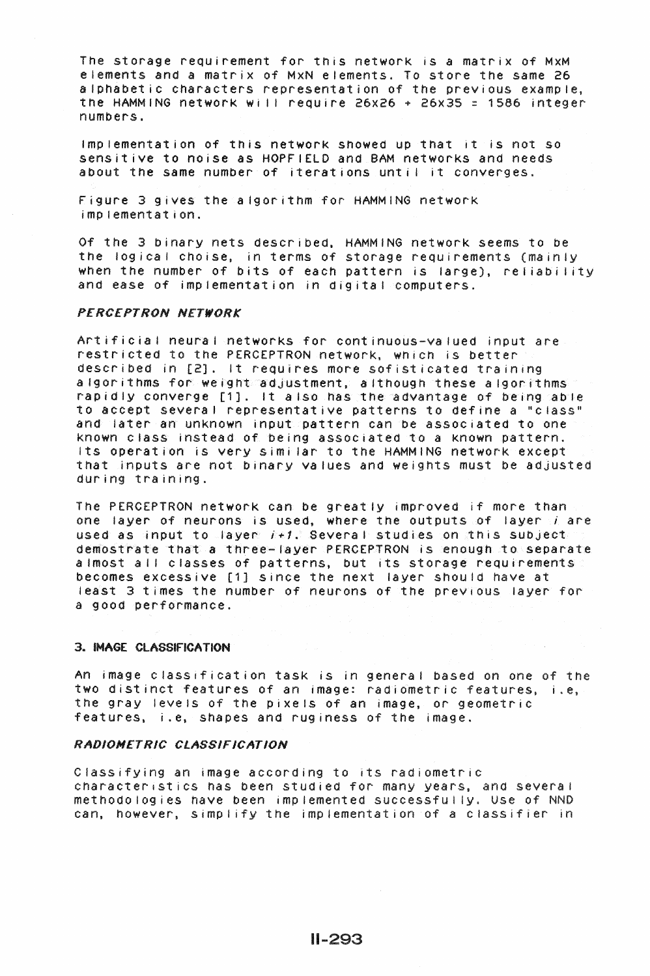The storage requirement for this network is a matrix of MxM elements and a matrix of MxN elements. To store the same 26 alphabetic characters representation of the previous example, the HAMMING network wi I I require 26x26 + 26x35 *=* 1586 integer numbers.

Implementation of this network showed up that it is not so sensitive to noise as HOPFIELD and BAM networks and needs about the same number of iterations until it converges.

Figure 3 gives the algorithm for HAMMING networK implementation.

Of the 3 binary nets described. HAMMING network seems to be the logical choise, in terms of storage requirements (mainly when the number of bits of each pattern is large), reliability and ease of implementation in digital computers.

#### PERCEPTRON NETWORK

Artificial neural networks for continuous-valued input are restricted to the PERCEPTRON network, which is better described in (2]. It requires more sofisticatea training algorithms for weight adjustment, although these algorithms rapidly converge [1]. It also has the advantage of being able to accept several representative patterns to define a "class" and later an unknown input pattern can be associated to one known class instead of being associated to a Known pattern. Its operation is very similar to the HAMMING network except that inputs are not binary values ana weights must be adjusted during training.

The PERCEPTRON network can be great IY improved if more than one layer of neurons is used, where the outputs of layer *i* are used as input to layer  $i+1$ . Several studies on this subject demostrate that a three-layer PERCEPTRON is enough to separate almost all classes of patterns, but its storage requirements becomes excessive [1] since the next layer should have at least 3 times the number of neurons of the previous layer for a good performance.

## 3.. IMAGE ClASSIFICATION

An image classification task is in general based on one of the two distinct features of an image: radiometric features, i.e, the gray levels of the pixels of an image, or geometric features, i.e, shapes and rug iness of the image.

# RADIOMETRIC CLASSIFICATION

Classifying an image according to its radiometric characteristics has been studied for many years, and several methodologies have been implemented successfully. Use of NND can. however, simplify the implementation of a classifier in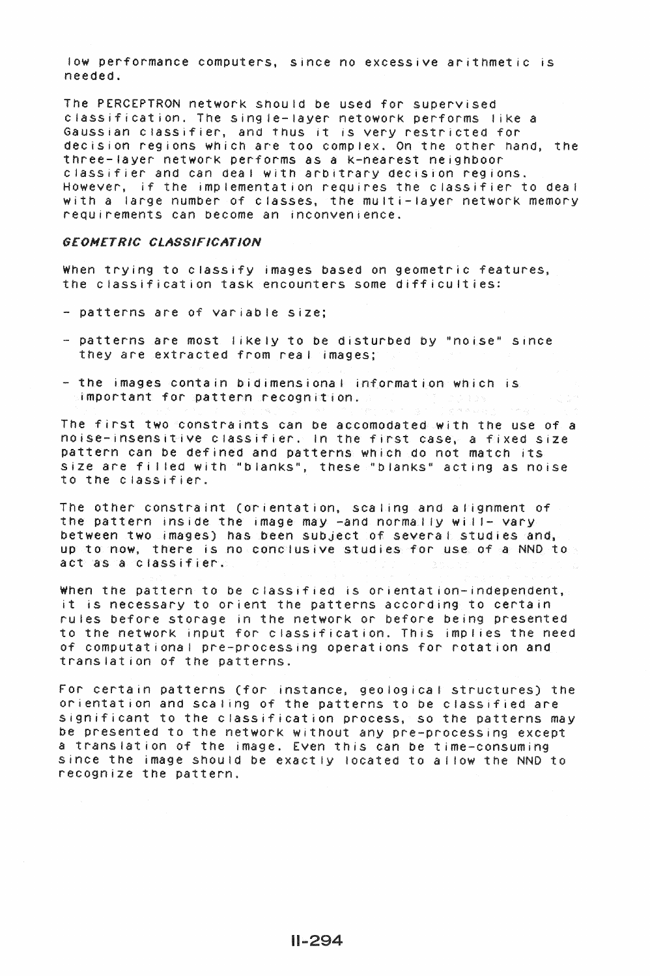low performance computers, since no excessive arithmetic is needed.

The PERCEPTRON network should be used for supervised classification. The single-layer netowork performs like a Gaussian classifier, and thus it is very restricted for decision regions which are too complex. On the other nand, the three-layer networK performs as a K-nearest neighboor classifier and can dea I with arbitrary decision regions. However, if the implementation requires the classifier to deal with a large number of classes, the multi-layer network memory requirements can oecome an inconvenience.

## GEOMETRIC CLASSIFICATION

When trying to classify images based on geometric features, the classification task encounters some difficulties:

- patterns are of variable size;
- -patterns are most I ikely to be disturbed by "noise" s1nce they are extracted from real images;
- the images contain bidimensional information which is important for pattern recognition.

The first two constraints can oe accomodated with the use of a noise-insensitive classifier. In the first case, a fixed size pattern can be defined and patterns which do not match its size are filled with "blanks", these "blanks" acting as noise to the classifier.

The other constraint (orientation, scaling and alignment of the pattern inside the image may -and normally will- vary between two images) has been subject of several studies and, up to now, there is no conclusive studies for use of a NND to act as a classifier.

When the pattern to be classified is orientation-independent, it is necessary to orient the patterns according to certain rules before storage in the network or before being presented to the network input for classification. This implies the need of computationa I pre-processing operations for rotation and translation of the patterns.

For certain patterns (for instance, geological structures) the orientation and sea ling of the patterns to be classified are significant to the classification process, so the patterns may be presented to the network without any pre-processing except a translation of the image. Even this can be time-consuming since the image should be exactly located to allow the NND to recognize the pattern.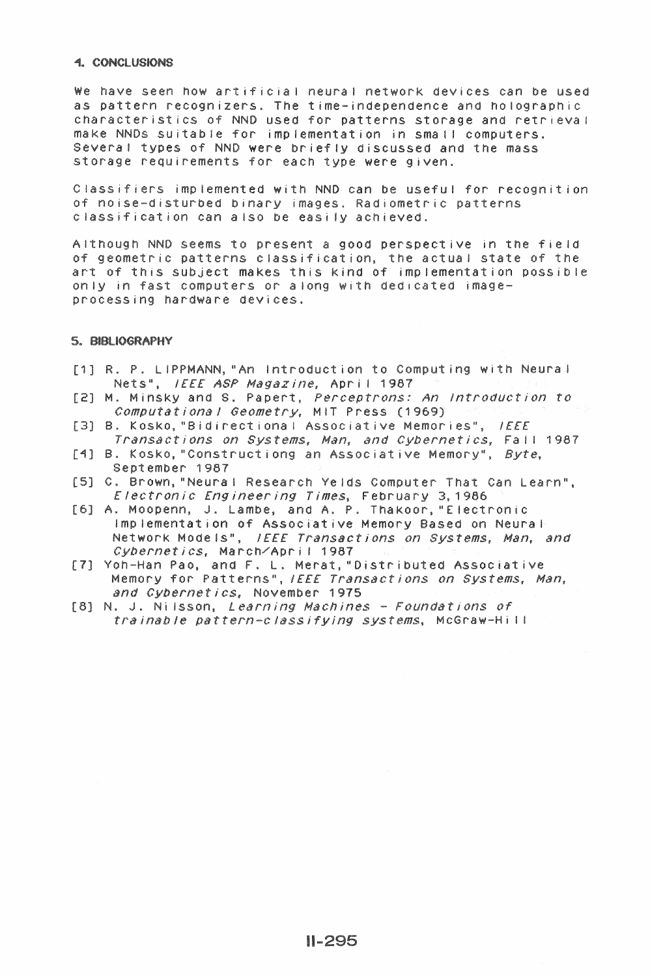### **4. CONCLUSIONS**

We have seen how artificial neural network devices can be used as pattern recognizers. The time-independence and holographic characteristics of NND used for patterns storage and retrieval make NNDs suitable for implementation in small computers. Several types of NND were briefly discussed and the mass storage requirements for each type were given.

Classifiers implemented with NND can be useful for recognition of noise-disturbed binary images. Radiometric patterns classification can also be easily achieved.

Although NND seems to present a good perspective in the field of geometric patterns classification, the actual state of the art of this subject makes this kind of implementation possible only in fast computers or along with dedicated imageprocessing hardware devices.

### **5. BIBLIOGRAPHY**

- [1] R. P. LIPPMANN, "An Introduction to Computing with Neural Nets", IEEE ASP Magazine, April 1987
- [2] M. Minsky and S. Papert, *Perceptrons: An Introduction to*<br>*Computational Geometry*, MIT Press (1969)
- [3] B. Kosko, "Bidirectional Associative Memories", IEEE Transactions on Systems, Man, and Cybernetics, Fail 1987
- [4] B. Kosko, "Constructiong an Associative Memory", Byte, September 1987
- [5] C. Brown, "Neural Research Yelds Computer That Can Learn", Electronic Engineering Times, February 3,1986
- [6] A. Moopenn, J. Lambe, and A. P. Thakoor, "Electronic Implementation of Associative Memory Based on Neural Network Models", IEEE Transactions on Systems, Man, and Cybernetics, March/April 1987
- [7] Yoh-Han Pao, and F. L. Merat, "Distributed Associative Memory for Patterns", IEEE Transactions on Systems, Man, and Cybernetics, November 1975
- [8] N. J. Nilsson, Learning Machines Foundations of trainable pattern-classifying systems, McGraw-Hill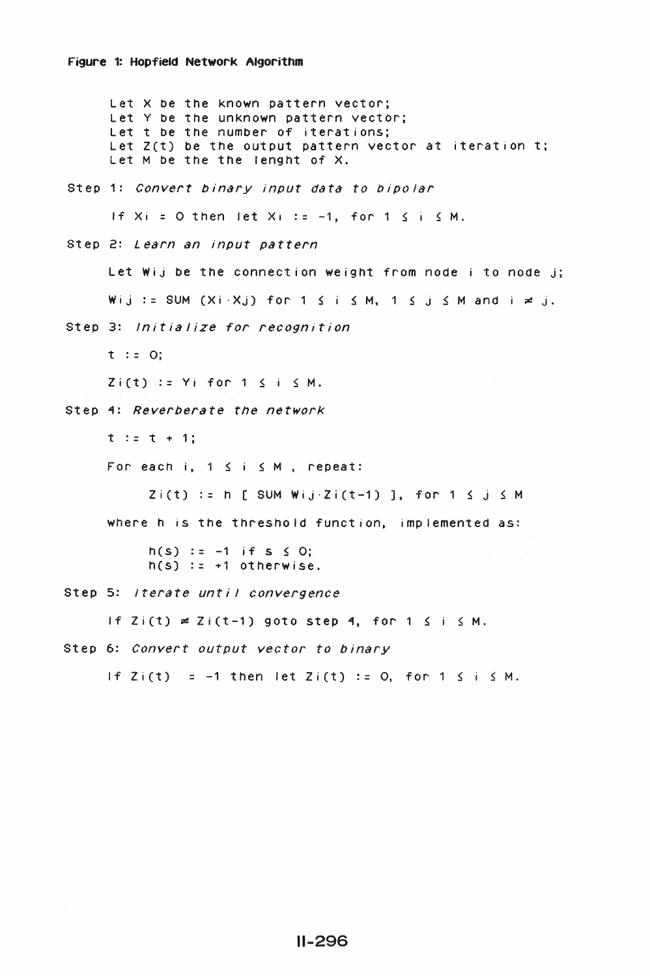Let X be the known pattern vector; Let Y be the unknown pattern vector; Let t be the number of iterations; Let  $Z(t)$  be the output pattern vector at iteration t; Let M be the the lenght of X. Step 1: *Convert binary input data to bipolar*  If  $Xi = 0$  then let  $Xi := -1$ , for  $1 \le i \le M$ . Step 2: *Learn an input pattern*  Let Wij be the connection weight from node i to node j; Wij := SUM  $(Xi \cdot Xj)$  for 1  $\leq i \leq M$ , 1  $\leq j \leq M$  and  $i \neq j$ . Step 3: *Initialize for recognition*  t : *=* 0;  $Zi(t) := Yi$  for  $1 \leq i \leq M$ . Step 1: *Reverberate the network*   $t := t + 1;$ For each  $i, 1 \leq i \leq M$ , repeat:  $Zi(t) := h$  [ SUM Wij·Zi(t-1) ], for 1  $\leq j \leq M$ where h is the threshold function, implemented as:  $h(s) := -1$  if s  $\leq O;$  $h(s)$  :=  $+1$  otherwise. Step 5: *Iterate unt; 1 convergence*  If  $Z_i(t) \neq Z_i(t-1)$  goto step 4, for 1  $\leq i \leq M$ . Step 6: *Convert output vector to binary*  If  $Z_i(t) = -1$  then let  $Z_i(t) := 0$ , for  $1 \le i \le M$ .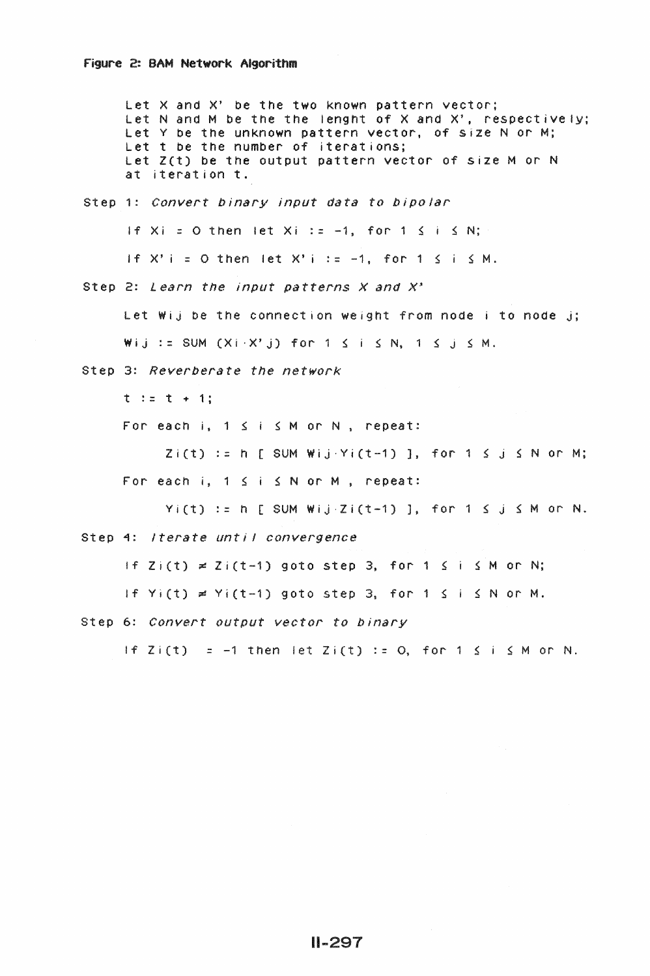Let X and X' be the two known pattern vector: Let N and M be the the lenght of X and X', respectively; Let Y be the unknown pattern vector, of size N or M: Let t be the number of iterations; Let Z(t) be the output pattern vector of size M or N at iteration t. Step 1: *Convert binary input data to bipolar*  If Xi = 0 then let Xi := -1, for 1  $\leq$  i  $\leq$  N; If  $X'$  i = 0 then let  $X'$  i := -1, for 1  $\leq$  i  $\leq$  M. Step 2: *Learn the input patterns X and X'*  Let Wij be the connection weight from node i to node j;  $W$ ij := SUM (Xi·X'j) for 1  $\leq$  i  $\leq$  N, 1  $\leq$  j  $\leq$  M. Step 3: *Reverberate the network*   $t := t + 1$ ; For each i,  $1 \le i \le M$  or N, repeat:  $Zi(t) := h$  [ SUM Wij·Yi(t-1) ], for 1  $\leq j \leq N$  or M; For each  $i, 1 \le i \le N$  or M, repeat:  $Y_i(t) := h$  [ SUM Wij·Zi(t-1) ], for 1  $\leq j \leq M$  or N. Step 4: *Iterate until convergence* If  $Zi(t) \neq Zi(t-1)$  goto step 3, for 1  $\leq i \leq M$  or N; If  $Y_i(t) = Y_i(t-1)$  goto step 3, for 1  $\leq i \leq N$  or M. Step 6: *Convert output vector to binary*  If  $Z_i(t) = -1$  then let  $Z_i(t) := 0$ , for  $1 \le i \le M$  or N.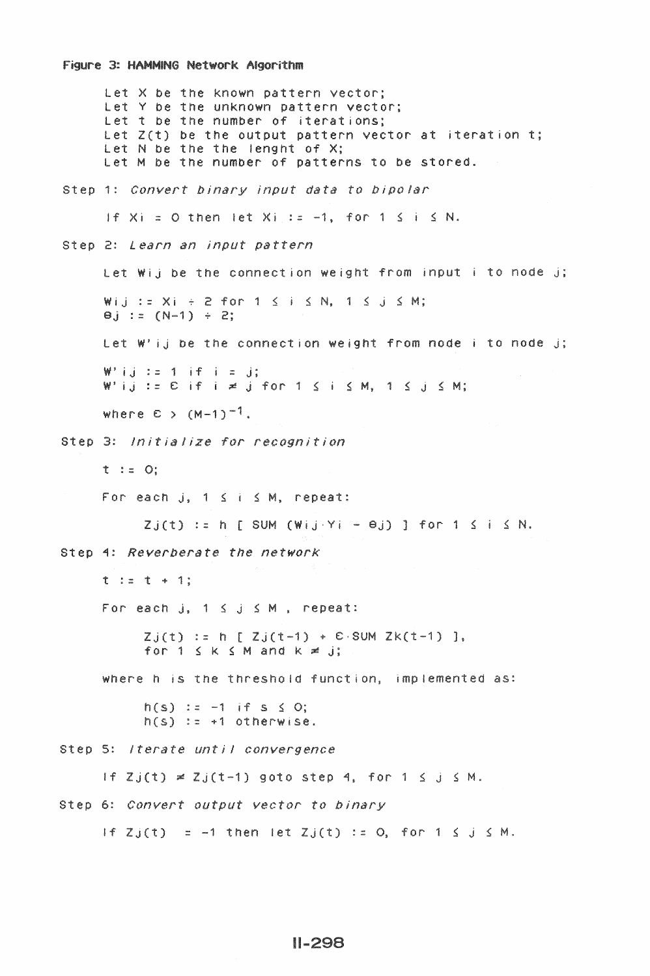#### Figure 3: HAMMING Network Algorithm

Let X be the known pattern vector; Let Y be the unknown pattern vector; Let t be the number of iterations: Let  $Z(t)$  be the output pattern vector at iteration t; Let N be the the lenght of X; Let M be the number of patterns to be stored. Step 1: Convert binary input data to bipolar If  $Xi = 0$  then let  $Xi$  := -1, for 1  $S$  i  $S$  N. Step 2: Learn an input pattern Let Wij be the connection weight from input i to node j; Wij:=  $Xi + 2$  for  $1 \le i \le N$ ,  $1 \le j \le M$ ;  $\Theta$ j := (N-1) ÷ 2; Let W'ij be the connection weight from node i to node j;  $W'$ ij:= 1 if i = j;  $W'$ ij: =  $E$  if i  $\neq$  j for 1  $\leq$  i  $\leq$  M, 1  $\leq$  j  $\leq$  M; where  $\epsilon$  >  $(M-1)^{-1}$ . Step 3: Initialize for recognition  $t := 0$ : For each j,  $1 \le i \le M$ , repeat:  $Zj(t) := h [SUM (Wij.Yi - \Theta j)]$  for  $1 \le i \le N$ . Step 4: Reverberate the network  $t := t + 1$ ; For each j,  $1 \le j \le M$ , repeat:  $Zj(t) := h [ Zj(t-1) + E SM Zk(t-1) ],$ for  $1 \leq k \leq M$  and  $k \geq j$ ; where h is the threshold function, implemented as:  $h(s) := -1$  if  $s \le 0$ ;  $h(s) := +1$  otherwise. Step 5: /terate until convergence If  $Zj(t) \neq Zj(t-1)$  goto step 4, for  $1 \leq j \leq M$ . Step 6: Convert output vector to binary If  $Zj(t) = -1$  then let  $Zj(t) := 0$ , for  $1 \leq j \leq M$ .

# $II - 298$